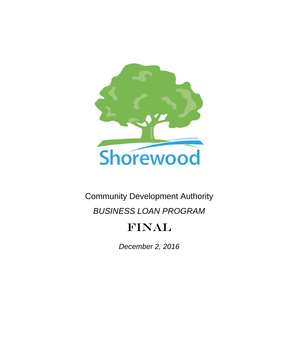

# Community Development Authority

# *BUSINESS LOAN PROGRAM*

# FINAL

*December 2, 2016*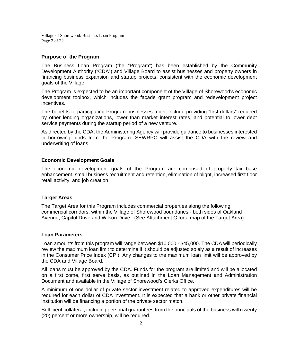Village of Shorewood: Business Loan Program Page 2 of 22

## **Purpose of the Program**

The Business Loan Program (the "Program") has been established by the Community Development Authority ("CDA") and Village Board to assist businesses and property owners in financing business expansion and startup projects, consistent with the economic development goals of the Village.

The Program is expected to be an important component of the Village of Shorewood's economic development toolbox, which includes the façade grant program and redevelopment project incentives.

The benefits to participating Program businesses might include providing "first dollars" required by other lending organizations, lower than market interest rates, and potential to lower debt service payments during the startup period of a new venture.

As directed by the CDA, the Administering Agency will provide guidance to businesses interested in borrowing funds from the Program. SEWRPC will assist the CDA with the review and underwriting of loans.

## **Economic Development Goals**

The economic development goals of the Program are comprised of property tax base enhancement, small business recruitment and retention, elimination of blight, increased first floor retail activity, and job creation.

## **Target Areas**

The Target Area for this Program includes commercial properties along the following commercial corridors, within the Village of Shorewood boundaries - both sides of Oakland Avenue, Capitol Drive and Wilson Drive. (See Attachment C for a map of the Target Area).

## **Loan Parameters**

Loan amounts from this program will range between \$10,000 - \$45,000. The CDA will periodically review the maximum loan limit to determine if it should be adjusted solely as a result of increases in the Consumer Price Index (CPI). Any changes to the maximum loan limit will be approved by the CDA and Village Board.

All loans must be approved by the CDA. Funds for the program are limited and will be allocated on a first come, first serve basis, as outlined in the Loan Management and Administration Document and available in the Village of Shorewood's Clerks Office.

A minimum of one dollar of private sector investment related to approved expenditures will be required for each dollar of CDA investment. It is expected that a bank or other private financial institution will be financing a portion of the private sector match.

Sufficient collateral, including personal guarantees from the principals of the business with twenty (20) percent or more ownership, will be required.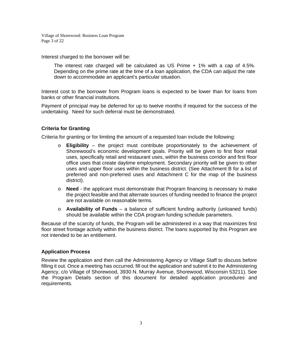Village of Shorewood: Business Loan Program Page 3 of 22

Interest charged to the borrower will be:

The interest rate charged will be calculated as US Prime + 1% with a cap of 4.5%. Depending on the prime rate at the time of a loan application, the CDA can adjust the rate down to accommodate an applicant's particular situation.

Interest cost to the borrower from Program loans is expected to be lower than for loans from banks or other financial institutions.

Payment of principal may be deferred for up to twelve months if required for the success of the undertaking. Need for such deferral must be demonstrated.

# **Criteria for Granting**

Criteria for granting or for limiting the amount of a requested loan include the following:

- o **Eligibility** the project must contribute proportionately to the achievement of Shorewood's economic development goals. Priority will be given to first floor retail uses, specifically retail and restaurant uses, within the business corridor and first floor office uses that create daytime employment. Secondary priority will be given to other uses and upper floor uses within the business district. (See Attachment B for a list of preferred and non-preferred uses and Attachment C for the map of the business district).
- o **Need** the applicant must demonstrate that Program financing is necessary to make the project feasible and that alternate sources of funding needed to finance the project are not available on reasonable terms.
- o **Availability of Funds**  a balance of sufficient funding authority (unloaned funds) should be available within the CDA program funding schedule parameters.

Because of the scarcity of funds, the Program will be administered in a way that maximizes first floor street frontage activity within the business district. The loans supported by this Program are not intended to be an entitlement.

# **Application Process**

Review the application and then call the Administering Agency or Village Staff to discuss before filling it out. Once a meeting has occurred, fill out the application and submit it to the Administering Agency, c/o Village of Shorewood, 3930 N. Murray Avenue, Shorewood, Wisconsin 53211). See the Program Details section of this document for detailed application procedures and requirements.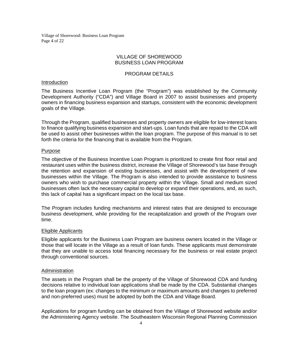Village of Shorewood: Business Loan Program Page 4 of 22

# VILLAGE OF SHOREWOOD BUSINESS LOAN PROGRAM

# PROGRAM DETAILS

### Introduction

The Business Incentive Loan Program (the "Program") was established by the Community Development Authority ("CDA") and Village Board in 2007 to assist businesses and property owners in financing business expansion and startups, consistent with the economic development goals of the Village.

Through the Program, qualified businesses and property owners are eligible for low-interest loans to finance qualifying business expansion and start-ups. Loan funds that are repaid to the CDA will be used to assist other businesses within the loan program. The purpose of this manual is to set forth the criteria for the financing that is available from the Program.

### Purpose

The objective of the Business Incentive Loan Program is prioritized to create first floor retail and restaurant uses within the business district, increase the Village of Shorewood's tax base through the retention and expansion of existing businesses, and assist with the development of new businesses within the Village. The Program is also intended to provide assistance to business owners who wish to purchase commercial property within the Village. Small and medium sized businesses often lack the necessary capital to develop or expand their operations, and, as such, this lack of capital has a significant impact on the local tax base.

The Program includes funding mechanisms and interest rates that are designed to encourage business development, while providing for the recapitalization and growth of the Program over time.

### Eligible Applicants

Eligible applicants for the Business Loan Program are business owners located in the Village or those that will locate in the Village as a result of loan funds. These applicants must demonstrate that they are unable to access total financing necessary for the business or real estate project through conventional sources.

## **Administration**

The assets in the Program shall be the property of the Village of Shorewood CDA and funding decisions relative to individual loan applications shall be made by the CDA. Substantial changes to the loan program (ex: changes to the minimum or maximum amounts and changes to preferred and non-preferred uses) must be adopted by both the CDA and Village Board.

Applications for program funding can be obtained from the Village of Shorewood website and/or the Administering Agency website. The Southeastern Wisconsin Regional Planning Commission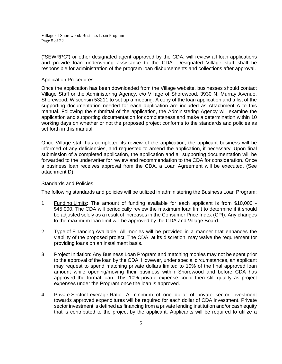Village of Shorewood: Business Loan Program Page 5 of 22

("SEWRPC") or other designated agent approved by the CDA, will review all loan applications and provide loan underwriting assistance to the CDA. Designated Village staff shall be responsible for administration of the program loan disbursements and collections after approval.

## Application Procedures

Once the application has been downloaded from the Village website, businesses should contact Village Staff or the Administering Agency, c/o Village of Shorewood, 3930 N. Murray Avenue, Shorewood, Wisconsin 53211 to set up a meeting. A copy of the loan application and a list of the supporting documentation needed for each application are included as Attachment A to this manual. Following the submittal of the application, the Administering Agency will examine the application and supporting documentation for completeness and make a determination within 10 working days on whether or not the proposed project conforms to the standards and policies as set forth in this manual.

Once Village staff has completed its review of the application, the applicant business will be informed of any deficiencies, and requested to amend the application, if necessary. Upon final submission of a completed application, the application and all supporting documentation will be forwarded to the underwriter for review and recommendation to the CDA for consideration. Once a business loan receives approval from the CDA, a Loan Agreement will be executed. (See attachment D)

## Standards and Policies

The following standards and policies will be utilized in administering the Business Loan Program:

- 1. Funding Limits: The amount of funding available for each applicant is from \$10,000 \$45,000. The CDA will periodically review the maximum loan limit to determine if it should be adjusted solely as a result of increases in the Consumer Price Index (CPI). Any changes to the maximum loan limit will be approved by the CDA and Village Board.
- 2. Type of Financing Available: All monies will be provided in a manner that enhances the viability of the proposed project. The CDA, at its discretion, may waive the requirement for providing loans on an installment basis.
- 3. Project Initiation: Any Business Loan Program and matching monies may not be spent prior to the approval of the loan by the CDA. However, under special circumstances, an applicant may request to spend matching private dollars limited to 10% of the final approved loan amount while opening/moving their business within Shorewood and before CDA has approved the formal loan. This 10% private expense could then still qualify as project expenses under the Program once the loan is approved.
- 4. Private Sector Leverage Ratio: A minimum of one dollar of private sector investment towards approved expenditures will be required for each dollar of CDA investment. Private sector investment is defined as financing from a private lending institution and/or cash equity that is contributed to the project by the applicant. Applicants will be required to utilize a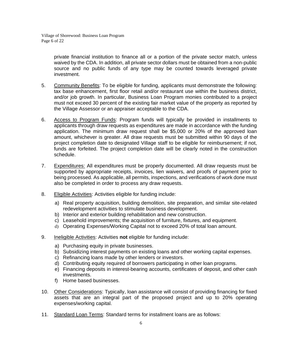private financial institution to finance all or a portion of the private sector match, unless waived by the CDA. In addition, all private sector dollars must be obtained from a non-public source and no public funds of any type may be counted towards leveraged private investment.

- 5. Community Benefits: To be eligible for funding, applicants must demonstrate the following: tax base enhancement, first floor retail and/or restaurant use within the business district, and/or job growth. In particular, Business Loan Program monies contributed to a project must not exceed 30 percent of the existing fair market value of the property as reported by the Village Assessor or an appraiser acceptable to the CDA.
- 6. Access to Program Funds: Program funds will typically be provided in installments to applicants through draw requests as expenditures are made in accordance with the funding application. The minimum draw request shall be \$5,000 or 20% of the approved loan amount, whichever is greater. All draw requests must be submitted within 90 days of the project completion date to designated Village staff to be eligible for reimbursement; if not, funds are forfeited. The project completion date will be clearly noted in the construction schedule.
- 7. Expenditures: All expenditures must be properly documented. All draw requests must be supported by appropriate receipts, invoices, lien waivers, and proofs of payment prior to being processed. As applicable, all permits, inspections, and verifications of work done must also be completed in order to process any draw requests.
- 8. Eligible Activities: Activities eligible for funding include:
	- a) Real property acquisition, building demolition, site preparation, and similar site-related redevelopment activities to stimulate business development.
	- b) Interior and exterior building rehabilitation and new construction.
	- c) Leasehold improvements; the acquisition of furniture, fixtures, and equipment.
	- d) Operating Expenses/Working Capital not to exceed 20% of total loan amount.
- 9. Ineligible Activities: Activities **not** eligible for funding include:
	- a) Purchasing equity in private businesses.
	- b) Subsidizing interest payments on existing loans and other working capital expenses.
	- c) Refinancing loans made by other lenders or investors.
	- d) Contributing equity required of borrowers participating in other loan programs.
	- e) Financing deposits in interest-bearing accounts, certificates of deposit, and other cash investments.
	- f) Home based businesses.
- 10. Other Considerations: Typically, loan assistance will consist of providing financing for fixed assets that are an integral part of the proposed project and up to 20% operating expenses/working capital.
- 11. Standard Loan Terms: Standard terms for installment loans are as follows: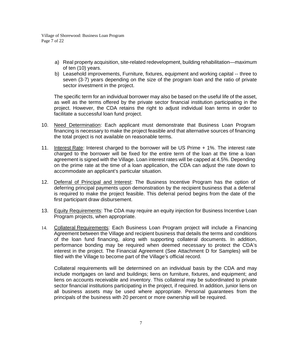Village of Shorewood: Business Loan Program Page 7 of 22

- a) Real property acquisition, site-related redevelopment, building rehabilitation—maximum of ten (10) years.
- b) Leasehold improvements, Furniture, fixtures, equipment and working capital -- three to seven (3-7) years depending on the size of the program loan and the ratio of private sector investment in the project.

The specific term for an individual borrower may also be based on the useful life of the asset, as well as the terms offered by the private sector financial institution participating in the project. However, the CDA retains the right to adjust individual loan terms in order to facilitate a successful loan fund project.

- 10. Need Determination: Each applicant must demonstrate that Business Loan Program financing is necessary to make the project feasible and that alternative sources of financing the total project is not available on reasonable terms.
- 11. Interest Rate: Interest charged to the borrower will be US Prime + 1%. The interest rate charged to the borrower will be fixed for the entire term of the loan at the time a loan agreement is signed with the Village. Loan interest rates will be capped at 4.5%. Depending on the prime rate at the time of a loan application, the CDA can adjust the rate down to accommodate an applicant's particular situation.
- 12. Deferral of Principal and Interest: The Business Incentive Program has the option of deferring principal payments upon demonstration by the recipient business that a deferral is required to make the project feasible. This deferral period begins from the date of the first participant draw disbursement.
- 13. Equity Requirements: The CDA may require an equity injection for Business Incentive Loan Program projects, when appropriate.
- 14. Collateral Requirements: Each Business Loan Program project will include a Financing Agreement between the Village and recipient business that details the terms and conditions of the loan fund financing, along with supporting collateral documents. In addition, performance bonding may be required when deemed necessary to protect the CDA's interest in the project. The Financial Agreement (See Attachment D for Samples) will be filed with the Village to become part of the Village's official record.

Collateral requirements will be determined on an individual basis by the CDA and may include mortgages on land and buildings; liens on furniture, fixtures, and equipment; and liens on accounts receivable and inventory. This collateral may be subordinated to private sector financial institutions participating in the project, if required. In addition, junior liens on all business assets may be used where appropriate. Personal guarantees from the principals of the business with 20 percent or more ownership will be required.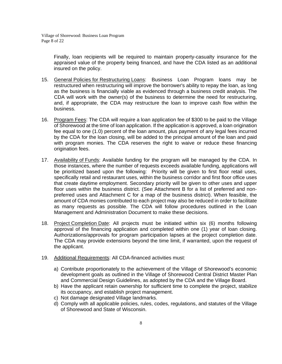Finally, loan recipients will be required to maintain property-casualty insurance for the appraised value of the property being financed, and have the CDA listed as an additional insured on the policy.

- 15. General Policies for Restructuring Loans: Business Loan Program loans may be restructured when restructuring will improve the borrower's ability to repay the loan, as long as the business is financially viable as evidenced through a business credit analysis. The CDA will work with the owner(s) of the business to determine the need for restructuring, and, if appropriate, the CDA may restructure the loan to improve cash flow within the business.
- 16. Program Fees: The CDA will require a loan application fee of \$300 to be paid to the Village of Shorewood at the time of loan application. If the application is approved, a loan origination fee equal to one (1.0) percent of the loan amount, plus payment of any legal fees incurred by the CDA for the loan closing, will be added to the principal amount of the loan and paid with program monies. The CDA reserves the right to waive or reduce these financing origination fees.
- 17. Availability of Funds: Available funding for the program will be managed by the CDA. In those instances, where the number of requests exceeds available funding, applications will be prioritized based upon the following: Priority will be given to first floor retail uses, specifically retail and restaurant uses, within the business corridor and first floor office uses that create daytime employment. Secondary priority will be given to other uses and upper floor uses within the business district. (See Attachment B for a list of preferred and nonpreferred uses and Attachment C for a map of the business district). When feasible, the amount of CDA monies contributed to each project may also be reduced in order to facilitate as many requests as possible. The CDA will follow procedures outlined in the Loan Management and Administration Document to make these decisions.
- 18. Project Completion Date: All projects must be initiated within six (6) months following approval of the financing application and completed within one (1) year of loan closing. Authorizations/approvals for program participation lapses at the project completion date. The CDA may provide extensions beyond the time limit, if warranted, upon the request of the applicant.
- 19. Additional Requirements: All CDA-financed activities must:
	- a) Contribute proportionately to the achievement of the Village of Shorewood's economic development goals as outlined in the Village of Shorewood Central District Master Plan and Commercial Design Guidelines, as adopted by the CDA and the Village Board.
	- b) Have the applicant retain ownership for sufficient time to complete the project, stabilize its occupancy, and establish project management.
	- c) Not damage designated Village landmarks.
	- d) Comply with all applicable policies, rules, codes, regulations, and statutes of the Village of Shorewood and State of Wisconsin.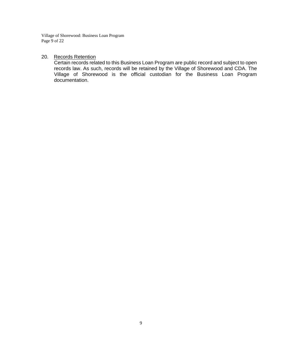Village of Shorewood: Business Loan Program Page 9 of 22

# 20. Records Retention

Certain records related to this Business Loan Program are public record and subject to open records law. As such, records will be retained by the Village of Shorewood and CDA. The Village of Shorewood is the official custodian for the Business Loan Program documentation.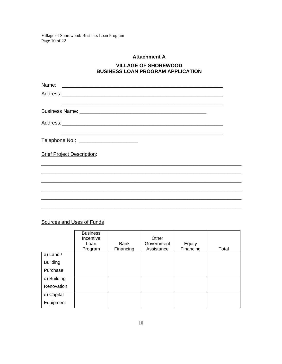Village of Shorewood: Business Loan Program Page  $10$  of 22

# **Attachment A**

# **VILLAGE OF SHOREWOOD BUSINESS LOAN PROGRAM APPLICATION**

| Telephone No.: _________________________ |  |
|------------------------------------------|--|
| <b>Brief Project Description:</b>        |  |
|                                          |  |
|                                          |  |
|                                          |  |
|                                          |  |

# Sources and Uses of Funds

|                 | <b>Business</b><br>Incentive<br>Loan<br>Program | Bank<br>Financing | Other<br>Government<br>Assistance | Equity<br>Financing | Total |
|-----------------|-------------------------------------------------|-------------------|-----------------------------------|---------------------|-------|
| a) Land $/$     |                                                 |                   |                                   |                     |       |
| <b>Building</b> |                                                 |                   |                                   |                     |       |
| Purchase        |                                                 |                   |                                   |                     |       |
| d) Building     |                                                 |                   |                                   |                     |       |
| Renovation      |                                                 |                   |                                   |                     |       |
| e) Capital      |                                                 |                   |                                   |                     |       |
| Equipment       |                                                 |                   |                                   |                     |       |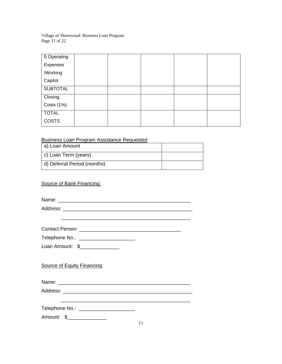Village of Shorewood: Business Loan Program Page 11 of 22

| f) Operating    |  |  |  |
|-----------------|--|--|--|
| Expenses        |  |  |  |
| /Working        |  |  |  |
| Capitol         |  |  |  |
| <b>SUBTOTAL</b> |  |  |  |
| Closing         |  |  |  |
| Costs (1%)      |  |  |  |
| <b>TOTAL</b>    |  |  |  |
| <b>COSTS</b>    |  |  |  |

# Business Loan Program Assistance Requested

| a) Loan Amount              |  |
|-----------------------------|--|
| c) Loan Term (years)        |  |
| d) Deferral Period (months) |  |

# Source of Bank Financing:

Name:

Address: \_\_\_\_\_\_\_\_\_\_\_\_\_\_\_\_\_\_\_\_\_\_\_\_\_\_\_\_\_\_\_\_\_\_\_\_\_\_\_\_\_\_\_\_\_\_ \_\_\_\_\_\_\_\_\_\_\_\_\_\_\_\_\_\_\_\_\_\_\_\_\_\_\_\_\_\_\_\_\_\_\_\_\_\_\_\_\_\_\_\_\_\_

Contact Person: \_\_\_\_\_\_\_\_\_\_\_\_\_\_\_\_\_\_\_\_\_\_\_\_\_\_\_\_\_\_\_\_\_\_\_\_

Telephone No.: \_\_\_\_\_\_\_\_\_\_\_\_\_\_\_\_\_\_\_\_

Loan Amount: \$\_\_\_\_\_\_\_\_\_\_\_\_\_\_\_

# Source of Equity Financing:

Name: \_\_\_\_\_\_\_\_\_\_\_\_\_\_\_\_\_\_\_\_\_\_\_\_\_\_\_\_\_\_\_\_\_\_\_\_\_\_\_\_\_\_\_\_\_\_\_

Address: \_\_\_\_\_\_\_\_\_\_\_\_\_\_\_\_\_\_\_\_\_\_\_\_\_\_\_\_\_\_\_\_\_\_\_\_\_\_\_\_\_\_\_\_\_\_

Telephone No.: \_\_\_\_\_\_\_\_\_\_\_\_\_\_\_\_\_\_\_\_

Amount: \$\_\_\_\_\_\_\_\_\_\_\_\_\_\_\_

\_\_\_\_\_\_\_\_\_\_\_\_\_\_\_\_\_\_\_\_\_\_\_\_\_\_\_\_\_\_\_\_\_\_\_\_\_\_\_\_\_\_\_\_\_\_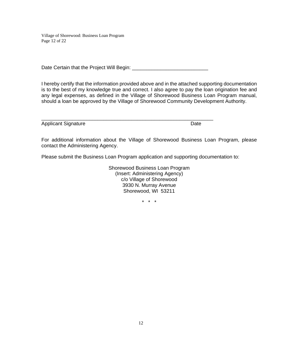Village of Shorewood: Business Loan Program Page 12 of 22

Date Certain that the Project Will Begin: \_\_\_\_\_\_\_\_\_\_\_\_\_\_\_\_\_\_\_\_\_\_\_\_\_\_\_

I hereby certify that the information provided above and in the attached supporting documentation is to the best of my knowledge true and correct. I also agree to pay the loan origination fee and any legal expenses, as defined in the Village of Shorewood Business Loan Program manual, should a loan be approved by the Village of Shorewood Community Development Authority.

| <b>Applicant Signature</b> |  |
|----------------------------|--|

For additional information about the Village of Shorewood Business Loan Program, please contact the Administering Agency.

Please submit the Business Loan Program application and supporting documentation to:

Shorewood Business Loan Program (Insert: Administering Agency) c/o Village of Shorewood 3930 N. Murray Avenue Shorewood, WI 53211

\* \* \*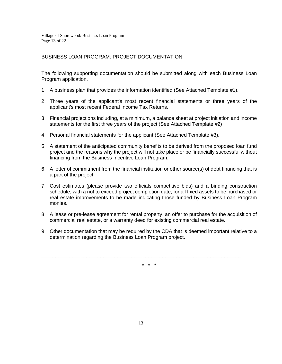Village of Shorewood: Business Loan Program Page 13 of 22

# BUSINESS LOAN PROGRAM: PROJECT DOCUMENTATION

The following supporting documentation should be submitted along with each Business Loan Program application.

- 1. A business plan that provides the information identified (See Attached Template #1).
- 2. Three years of the applicant's most recent financial statements or three years of the applicant's most recent Federal Income Tax Returns.
- 3. Financial projections including, at a minimum, a balance sheet at project initiation and income statements for the first three years of the project (See Attached Template #2)
- 4. Personal financial statements for the applicant (See Attached Template #3).
- 5. A statement of the anticipated community benefits to be derived from the proposed loan fund project and the reasons why the project will not take place or be financially successful without financing from the Business Incentive Loan Program.
- 6. A letter of commitment from the financial institution or other source(s) of debt financing that is a part of the project.
- 7. Cost estimates (please provide two officials competitive bids) and a binding construction schedule, with a not to exceed project completion date, for all fixed assets to be purchased or real estate improvements to be made indicating those funded by Business Loan Program monies.
- 8. A lease or pre-lease agreement for rental property, an offer to purchase for the acquisition of commercial real estate, or a warranty deed for existing commercial real estate.
- 9. Other documentation that may be required by the CDA that is deemed important relative to a determination regarding the Business Loan Program project.

\* \* \*

\_\_\_\_\_\_\_\_\_\_\_\_\_\_\_\_\_\_\_\_\_\_\_\_\_\_\_\_\_\_\_\_\_\_\_\_\_\_\_\_\_\_\_\_\_\_\_\_\_\_\_\_\_\_\_\_\_\_\_\_\_\_\_\_\_\_\_\_\_\_\_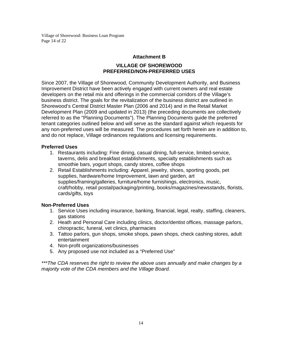Village of Shorewood: Business Loan Program Page 14 of 22

# **Attachment B**

# **VILLAGE OF SHOREWOOD PREFERRED/NON-PREFERRED USES**

Since 2007, the Village of Shorewood, Community Development Authority, and Business Improvement District have been actively engaged with current owners and real estate developers on the retail mix and offerings in the commercial corridors of the Village's business district. The goals for the revitalization of the business district are outlined in Shorewood's Central District Master Plan (2006 and 2014) and in the Retail Market Development Plan (2009 and updated in 2013) (the preceding documents are collectively referred to as the "Planning Documents"). The Planning Documents guide the preferred tenant categories outlined below and will serve as the standard against which requests for any non-preferred uses will be measured. The procedures set forth herein are in addition to, and do not replace, Village ordinances regulations and licensing requirements.

# **Preferred Uses**

- 1. Restaurants including: Fine dining, casual dining, full-service, limited-service, taverns, delis and breakfast establishments, specialty establishments such as smoothie bars, yogurt shops, candy stores, coffee shops
- 2. Retail Establishments including: Apparel, jewelry, shoes, sporting goods, pet supplies, hardware/home Improvement, lawn and garden, art supplies/framing/galleries, furniture/home furnishings, electronics, music, craft/hobby, retail postal/packaging/printing, books/magazines/newsstands, florists, cards/gifts, toys

# **Non-Preferred Uses**

- 1. Service Uses including insurance, banking, financial, legal, realty, staffing, cleaners, gas stations
- 2. Heath and Personal Care including clinics, doctor/dentist offices, massage parlors, chiropractic, funeral, vet clinics, pharmacies
- 3. Tattoo parlors, gun shops, smoke shops, pawn shops, check cashing stores, adult entertainment
- 4. Non-profit organizations/businesses
- 5. Any proposed use not included as a "Preferred Use"

*\*\*\*The CDA reserves the right to review the above uses annually and make changes by a majority vote of the CDA members and the Village Board.*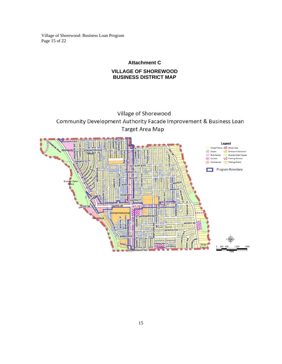Village of Shorewood: Business Loan Program Page 15 of 22

# **Attachment C**

# **VILLAGE OF SHOREWOOD BUSINESS DISTRICT MAP**

# Village of Shorewood Community Development Authority Facade Improvement & Business Loan **Target Area Map**

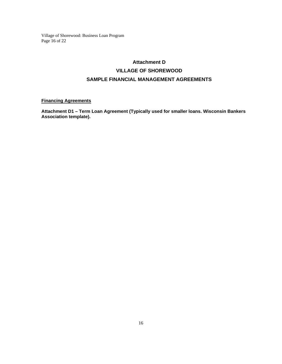Village of Shorewood: Business Loan Program Page 16 of 22

# **Attachment D VILLAGE OF SHOREWOOD SAMPLE FINANCIAL MANAGEMENT AGREEMENTS**

# **Financing Agreements**

**Attachment D1 – Term Loan Agreement (Typically used for smaller loans. Wisconsin Bankers Association template).**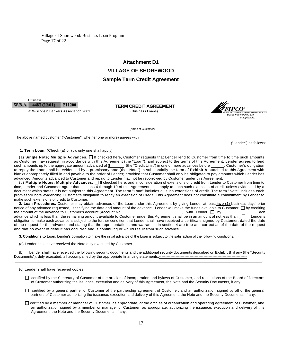Village of Shorewood: Business Loan Program Page 17 of 22

# **Attachment D1 VILLAGE OF SHOREWOOD Sample Term Credit Agreement**

#### W.B.A. 448T (12/01) **F11200**

Business

 **TERM CREDIT AGREEMENT**  © Wisconsin Bankers Association 2001 (Business Loans)



(Name of Customer)

The above named customer ("Customer", whether one or more) agrees with

("Lender") as follows:

**1. Term Loan.** (Check (a) or (b); only one shall apply)

(a) **Single Note; Multiple Advances.** If checked here, Customer requests that Lender lend to Customer from time to time such amounts as Customer may request, in accordance with this Agreement (the "Loan"), and subject to the terms of this Agreement, Lender agrees to lend such amounts up to the aggregate amount advanced of  $\frac{\cdot}{2}$  (the "Credit Limit") in one or more advances before \_\_\_\_\_\_. Customer's obligation to repay the Loan shall be evidenced by a promissory note (the "Note") in substantially the form of **Exhibit A** attached to this Agreement with blanks appropriately filled in and payable to the order of Lender; provided that Customer shall only be obligated to pay amounts which Lender has advanced. Amounts advanced to Customer and repaid to Lender may not be reborrowed by Customer under this Agreement.

(b) **Multiple Notes; Multiple Advances.** If checked here, and in consideration of extensions of credit from Lender to Customer from time to time, Lender and Customer agree that sections 4 through 19 of this Agreement shall apply to each such extension of credit unless evidenced by a document which states it is not subject to this Agreement. The term "Loan" includes all such extensions of credit. The term "Note" includes each promissory note evidencing Customer's obligation to repay an extension of Credit. This Agreement does not constitute a commitment by Lender to make such extensions of credit to Customer.

**2. Loan Procedures.** Customer may obtain advances of the Loan under this Agreement by giving Lender at least **two (2)** business days' prior notice of any advance requested, specifying the date and amount of the advance. Lender will make the funds available to Customer  $\Box$  by crediting the amount of the advance to Customer's account (Account No. ) with Lender  $\Box$  by \_\_\_\_\_\_\_\_\_\_. Each advance which is less than the remaining amount available to Customer under this Agreement shall be in an amount of not less than  $\Box$  Lender's obligation to make each advance is subject to the further condition that Lender shall have received a certificate signed by Customer, dated the date of the request for the advance and stating that the representations and warranties in section 4 are true and correct as of the date of the request and that no event of default has occurred and is continuing or would result from such advance.

**3. Conditions to Loan.** Lender's obligation to make the initial advance of the Loan is subject to the satisfaction of the following conditions:

(a) Lender shall have received the Note duly executed by Customer.

(b) Lender shall have received the following security documents and the additional security documents described on **Exhibit B**, if any (the "Security Documents"), duly executed, all accompanied by the appropriate financing statements:--------------------------------------------------------------------- ----------------------------------------------------------------------------------------------------------------------------------------------------------------------------------------------------------.

- certified by the Secretary of Customer of the articles of incorporation and bylaws of Customer, and resolutions of the Board of Directors of Customer authorizing the issuance, execution and delivery of this Agreement, the Note and the Security Documents, if any;
- $\Box$  certified by a general partner of Customer of the partnership agreement of Customer, and an authorization signed by all of the general partners of Customer authorizing the issuance, execution and delivery of this Agreement, the Note and the Security Documents, if any;
- certified by a member or manager of Customer, as appropriate, of the articles of organization and operating agreement of Customer, and an authorization signed by a member or manager of Customer, as appropriate, authorizing the issuance, execution and delivery of this Agreement, the Note and the Security Documents, if any;

<sup>(</sup>c) Lender shall have received copies: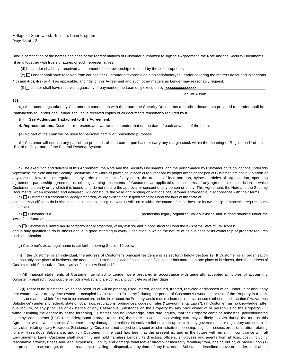#### Village of Shorewood: Business Loan Program Page 18 of 22

and a certification of the names and titles of the representatives of Customer authorized to sign this Agreement, the Note and the Security Documents, if any, together with true signatures of such representatives.

(d)  $\Box$  Lender shall have received a statement of sole ownership executed by the sole proprietor.

**151** \_\_\_\_\_\_\_\_\_\_\_\_\_\_\_\_\_\_\_\_\_\_\_\_\_\_\_\_\_\_\_\_\_\_\_\_\_\_\_\_\_\_\_\_\_\_\_\_\_\_\_\_\_\_\_\_\_\_\_\_\_\_\_\_\_\_\_\_\_\_\_\_\_\_\_\_\_\_\_\_ .

(e) Lender shall have received from counsel for Customer a favorable opinion satisfactory to Lender covering the matters described in sections 4(c) and 4(d), 4(e) or 4(f) as applicable, and 4(g) of this Agreement and such other matters as Lender may reasonably request.

(f)  $\Box$  Lender shall have received a quaranty of payment of the Loan duly executed by **xxxxxxxxxxxxx** 

\_\_\_\_\_\_\_\_\_\_\_\_\_\_\_\_\_\_\_\_\_\_\_\_\_\_\_\_\_\_\_\_\_\_\_\_\_\_\_\_\_\_\_\_\_\_\_\_\_\_\_\_\_\_\_\_\_\_\_\_\_\_\_\_\_\_\_\_\_\_\_\_\_\_\_\_\_\_\_\_\_\_\_ on WBA form

(g) All proceedings taken by Customer in connection with the Loan, the Security Documents and other documents provided to Lender shall be satisfactory to Lender and Lender shall have received copies of all documents reasonably required by it.

#### (h) **See Addendum 1 attached to this Agreement.**

**4. Representations.** Customer represents and warrants to Lender that on the date of each advance of the Loan:

(a) No part of the Loan will be used for personal, family or, household purposes.

(b) Customer will not use any part of the proceeds of the Loan to purchase or carry any margin stock within the meaning of Regulation U of the Board of Governors of the Federal Reserve System.

(c) The execution and delivery of this Agreement, the Note and the Security Documents, and the performance by Customer of its obligations under this Agreement, the Note and the Security Documents, are within its power, have been duly authorized by proper action on the part of Customer, are not in violation of any existing law, rule or regulation, any order or decision of any court, the articles of incorporation, bylaws, articles of organization, operating agreement, partnership agreement or other governing documents of Customer, as applicable, or the terms of any agreement or restriction to which Customer is a party or by which it is bound, and do not require the approval or consent of any person or entity. This Agreement, the Note and the Security Documents, when executed and delivered, will constitute the valid and binding obligations of Customer enforceable in accordance with their terms.

(d)  $\Box$  Customer is a corporation legally organized, validly existing and in good standing under the laws of the State of and is duly qualified to do business and is in good standing in every jurisdiction in which the nature of its business or its ownership of properties requires such qualification.

(e) Customer is a \_\_\_\_\_\_\_\_\_\_\_\_\_\_\_\_\_\_\_\_\_\_\_\_\_\_\_\_\_\_\_\_\_\_\_\_\_\_\_\_\_\_ partnership legally organized, validly existing and in good standing under the laws of the State of

(f)  $\Box$ Customer is a limited liability company legally organized, validly existing and in good standing under the laws of the State of Wisconsin and is duly qualified to do business and is in good standing in every jurisdiction in which the nature of its business or its ownership of property requires such qualification.

(g) Customer's exact legal name is set forth following Section 19 below.

(h) If the Customer is an individual, the address of Customer's principal residence is as set forth below Section 19. If Customer is an organization that has only one place of business, the address of Customer's place of business, or if Customer has more than one place of business, then the address of Customer's chief executive office, is as set forth below Section 19.

(i) All financial statements of Customer furnished to Lender were prepared in accordance with generally accepted principles of accounting consistently applied throughout the periods involved and are correct and complete as of their dates.

(j) (i) There is no substance which has been, is or will be present, used, stored, deposited, treated, recycled or disposed of on, under, in or about any real estate now or at any time owned or occupied by Customer ("Property") during the period of Customer's ownership or use of the Property in a form, quantity or manner which if known to be present on, under, in or about the Property would require clean-up, removal or some other remedial action ("Hazardous Substance") under any federal, state or local laws, regulations, ordinances, codes or rules ("Environmental Laws"); (ii) Customer has no knowledge, after due inquiry, of any prior use or existence of any Hazardous Substance on the Property by any prior owner of or person using the Property; (iii) without limiting the generality of the foregoing, Customer has no knowledge, after due inquiry, that the Property contains asbestos, polychlorinated biphenyl components (PCBs) or underground storage tanks; (iv) there are no conditions existing currently or likely to exist during the term of this Agreement which would subject Customer to any damages, penalties, injunctive relief or clean-up costs in any governmental or regulatory action or thirdparty claim relating to any Hazardous Substance; (v) Customer is not subject to any court or administrative proceeding, judgment, decree, order or citation relating to any Hazardous Substance; and (vi) Customer in the past has been, at the present is, and in the future will remain in compliance with all Environmental Laws. Customer shall indemnify and hold harmless Lender, its directors, officers, employees and agents from all loss, cost (including reasonable attorneys' fees and legal expenses), liability and damage whatsoever directly or indirectly resulting from, arising out of, or based upon (1) the presence, use, storage, deposit, treatment, recycling or disposal, at any time, of any Hazardous Substance described above on, under, in or about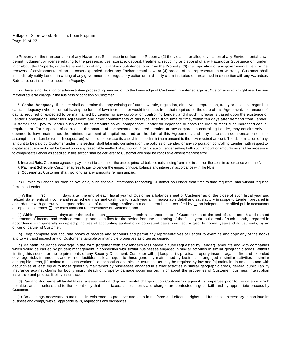Village of Shorewood: Business Loan Program Page 19 of 22

the Property, or the transportation of any Hazardous Substance to or from the Property, (2) the violation or alleged violation of any Environmental Law, permit, judgment or license relating to the presence, use, storage, deposit, treatment, recycling or disposal of any Hazardous Substance on, under, in or about the Property, or the transportation of any Hazardous Substance to or from the Property, (3) the imposition of any governmental lien for the recovery of environmental clean-up costs expended under any Environmental Law, or (4) breach of this representation or warranty. Customer shall immediately notify Lender in writing of any governmental or regulatory action or third-party claim instituted or threatened in connection with any Hazardous Substance on, in, under or about the Property.

(k) There is no litigation or administrative proceeding pending or, to the knowledge of Customer, threatened against Customer which might result in any material adverse change in the business or condition of Customer.

**5. Capital Adequacy.** If Lender shall determine that any existing or future law, rule, regulation, directive, interpretation, treaty or guideline regarding capital adequacy (whether or not having the force of law) increases or would increase, from that required on the date of this Agreement, the amount of capital required or expected to be maintained by Lender, or any corporation controlling Lender, and if such increase is based upon the existence of Lender's obligations under this Agreement and other commitments of this type, then from time to time, within ten days after demand from Lender, Customer shall pay to Lender such amount or amounts as will compensate Lender for expenses or costs required to meet such increased capital requirement. For purposes of calculating the amount of compensation required, Lender, or any corporation controlling Lender, may conclusively be deemed to have maintained the minimum amount of capital required on the date of this Agreement, and may base such compensation on the assumption that Lender (or such corporation) will need to increase its capital from such minimum amount to the new required amount. The determination of any amount to be paid by Customer under this section shall take into consideration the policies of Lender, or any corporation controlling Lender, with respect to capital adequacy and shall be based upon any reasonable method of attribution. A certificate of Lender setting forth such amount or amounts as shall be necessary to compensate Lender as specified in this section shall be delivered to Customer and shall be conclusive absent manifest error.

**6. Interest Rate.** Customer agrees to pay interest to Lender on the unpaid principal balance outstanding from time to time on the Loan in accordance with the Note. **7. Payment Schedule.** Customer agrees to pay to Lender the unpaid principal balance and interest in accordance with the Note.

**8. Covenants.** Customer shall, so long as any amounts remain unpaid:

(a) Furnish to Lender, as soon as available, such financial information respecting Customer as Lender from time to time requests, and without request furnish to Lender:

(i) Within **90** \_\_\_\_\_\_\_ days after the end of each fiscal year of Customer a balance sheet of Customer as of the close of such fiscal year and related statements of income and retained earnings and cash flow for such year all in reasonable detail and satisfactory in scope to Lender, prepared in accordance with generally accepted principles of accounting applied on a consistent basis, certified by  $\Box$  an independent certified public accountant acceptable to Lender  $\boxtimes$  the chief financial representative of Customer, and

(ii) Within \_\_\_\_\_\_\_\_\_\_\_ days after the end of each \_\_\_\_\_\_\_\_\_\_\_\_ month a balance sheet of Customer as of the end of such month and related statements of income and retained earnings and cash flow for the period from the beginning of the fiscal year to the end of such month, prepared in accordance with generally accepted principles of accounting applied on a consistent basis, certified, subject to normal year-end adjustments, by an officer or partner of Customer.

(b) Keep complete and accurate books of records and accounts and permit any representatives of Lender to examine and copy any of the books and to visit and inspect any of Customer's tangible or intangible properties as often as desired.

(c) Maintain insurance coverage in the form (together with any lender's loss payee clause requested by Lender), amounts and with companies which would be carried by prudent management in connection with similar businesses engaged in similar activities in similar geographic areas. Without limiting this section or the requirements of any Security Document, Customer will [a] keep all its physical property insured against fire and extended coverage risks in amounts and with deductibles at least equal to those generally maintained by businesses engaged in similar activities in similar geographic areas, [b] maintain all such workers' compensation and similar insurance as may be required by law and [c] maintain, in amounts and with deductibles at least equal to those generally maintained by businesses engaged in similar activities in similar geographic areas, general public liability insurance against claims for bodily injury, death or property damage occurring on, in or about the properties of Customer, business interruption insurance and product liability insurance.

(d) Pay and discharge all lawful taxes, assessments and governmental charges upon Customer or against its properties prior to the date on which penalties attach, unless and to the extent only that such taxes, assessments and charges are contested in good faith and by appropriate process by Customer.

(e) Do all things necessary to maintain its existence, to preserve and keep in full force and effect its rights and franchises necessary to continue its business and comply with all applicable laws, regulations and ordinances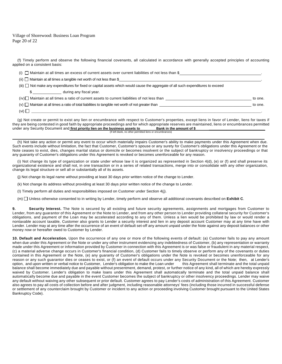Village of Shorewood: Business Loan Program Page 20 of 22

(f) Timely perform and observe the following financial covenants, all calculated in accordance with generally accepted principles of accounting applied on a consistent basis:

| (i) $\Box$ Maintain at all times an excess of current assets over current liabilities of not less than \$                      |         |
|--------------------------------------------------------------------------------------------------------------------------------|---------|
| (ii) $\Box$ Maintain at all times a tangible net worth of not less than \$                                                     |         |
| (iii) not make any expenditures for fixed or capital assets which would cause the aggregate of all such expenditures to exceed |         |
| \$ during any fiscal year.                                                                                                     |         |
|                                                                                                                                | to one. |
| $(v)$ $\Box$ Maintain at all times a ratio of total liabilities to tangible net worth of not greater than                      | to one. |
| (vi) $\Box$                                                                                                                    |         |

(g) Not create or permit to exist any lien or encumbrance with respect to Customer's properties, except liens in favor of Lender, liens for taxes if they are being contested in good faith by appropriate proceedings and for which appropriate reserves are maintained, liens or encumbrances permitted<br>under any Security Document and first priority lien on the business asset under any Security Document and *first priority lien on the business assets to* (If left blank, no other permitted liens or encumbrances)

(h) Not take any action or permit any event to occur which materially impairs Customer's ability to make payments under this Agreement when due. Such events include without limitation, the fact that Customer, Customer's spouse or any surety for Customer's obligations under this Agreement or the Note ceases to exist, dies, changes marital status or domicile or becomes insolvent or the subject of bankruptcy or insolvency proceedings or that any guaranty of Customer's obligations under this Agreement is revoked or becomes unenforceable for any reason.

(i) Not change its type of organization or state under whose law it is organized as represented in Section 4(d), (e) or (f) and shall preserve its organizational existence and shall not, in one transaction or in a series of related transactions, merge into or consolidate with any other organization, change its legal structure or sell all or substantially all of its assets.

(j) Not change its legal name without providing at least 30 days prior written notice of the change to Lender.

(k) Not change its address without providing at least 30 days prior written notice of the change to Lender.

(I) Timely perform all duties and responsibilities imposed on Customer under Section 4(j).

(m) Unless otherwise consented to in writing by Lender, timely perform and observe all additional covenants described on **Exhibit C**.

**9. Security Interest.** The Note is secured by all existing and future security agreements, assignments and mortgages from Customer to Lender, from any guarantor of this Agreement or the Note to Lender, and from any other person to Lender providing collateral security for Customer's obligations, and payment of the Loan may be accelerated according to any of them. Unless a lien would be prohibited by law or would render a nontaxable account taxable, Customer also grants to Lender a security interest and lien in any deposit account Customer may at any time have with Lender. Lender may at any time after the occurrence of an event of default set-off any amount unpaid under the Note against any deposit balances or other money now or hereafter owed to Customer by Lender.

**10. Default and Acceleration.** Upon the occurrence of any one or more of the following events of default: (a) Customer fails to pay any amount when due under this Agreement or the Note or under any other instrument evidencing any indebtedness of Customer, (b) any representation or warranty made under this Agreement or information provided by Customer in connection with this Agreement is or was false or fraudulent in any material respect, (c) a material adverse change occurs in Customer's financial condition, (d) Customer fails to timely observe or perform any of the covenants or duties contained in this Agreement or the Note, (e) any guaranty of Customer's obligations under the Note is revoked or becomes unenforceable for any reason or any such guarantor dies or ceases to exist, or (f) an event of default occurs under any Security Document or the Note; then, at Lender's option, and upon written or verbal notice to Customer, Lender's obligation to make the Loan under this Agreement shall terminate and the total unpaid balance shall become immediately due and payable without presentment, demand, protest, or further notice of any kind, all of which are hereby expressly waived by Customer. Lender's obligation to make loans under this Agreement shall automatically terminate and the total unpaid balance shall automatically become due and payable in the event Customer becomes the subject of bankruptcy or other insolvency proceedings. Lender may waive any default without waiving any other subsequent or prior default. Customer agrees to pay Lender's costs of administration of this Agreement. Customer also agrees to pay all costs of collection before and after judgment, including reasonable attorneys' fees (including those incurred in successful defense or settlement of any counterclaim brought by Customer or incident to any action or proceeding involving Customer brought pursuant to the United States Bankruptcy Code).